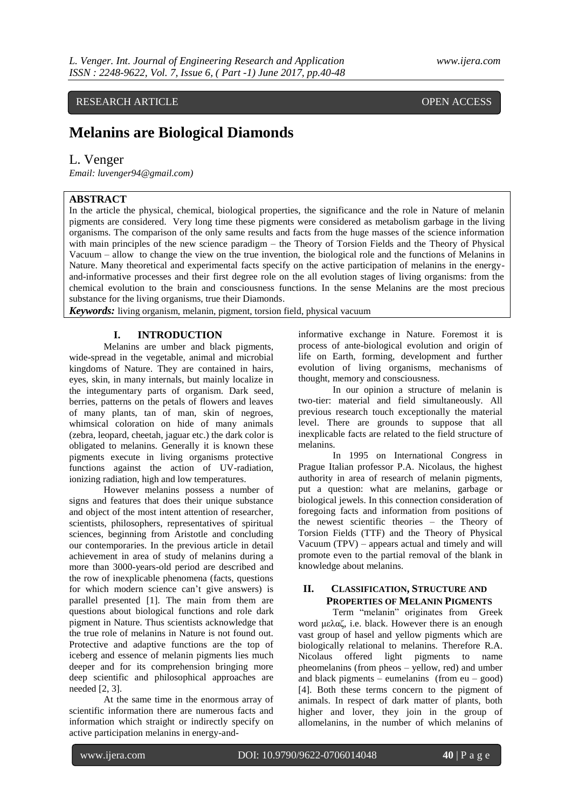# RESEARCH ARTICLE OPEN ACCESS

# **Melanins are Biological Diamonds**

# L. Venger

*Email: luvenger94@gmail.com)*

# **ABSTRACT**

In the article the physical, chemical, biological properties, the significance and the role in Nature of melanin pigments are considered. Very long time these pigments were considered as metabolism garbage in the living organisms. The comparison of the only same results and facts from the huge masses of the science information with main principles of the new science paradigm – the Theory of Torsion Fields and the Theory of Physical Vacuum – allow to change the view on the true invention, the biological role and the functions of Melanins in Nature. Many theoretical and experimental facts specify on the active participation of melanins in the energyand-informative processes and their first degree role on the all evolution stages of living organisms: from the chemical evolution to the brain and consciousness functions. In the sense Melanins are the most precious substance for the living organisms, true their Diamonds.

*Keywords:* living organism, melanin, pigment, torsion field, physical vacuum

## **I. INTRODUCTION**

Melanins are umber and black pigments, wide-spread in the vegetable, animal and microbial kingdoms of Nature. They are contained in hairs, eyes, skin, in many internals, but mainly localize in the integumentary parts of organism. Dark seed, berries, patterns on the petals of flowers and leaves of many plants, tan of man, skin of negroes, whimsical coloration on hide of many animals (zebra, leopard, cheetah, jaguar etc.) the dark color is obligated to melanins. Generally it is known these pigments execute in living organisms protective functions against the action of UV-radiation, ionizing radiation, high and low temperatures.

However melanins possess a number of signs and features that does their unique substance and object of the most intent attention of researcher, scientists, philosophers, representatives of spiritual sciences, beginning from Aristotle and concluding our contemporaries. In the previous article in detail achievement in area of study of melanins during a more than 3000-years-old period are described and the row of inexplicable phenomena (facts, questions for which modern science can't give answers) is parallel presented [1]. The main from them are questions about biological functions and role dark pigment in Nature. Thus scientists acknowledge that the true role of melanins in Nature is not found out. Protective and adaptive functions are the top of iceberg and essence of melanin pigments lies much deeper and for its comprehension bringing more deep scientific and philosophical approaches are needed [2, 3].

At the same time in the enormous array of scientific information there are numerous facts and information which straight or indirectly specify on active participation melanins in energy-andinformative exchange in Nature. Foremost it is process of ante-biological evolution and origin of life on Earth, forming, development and further evolution of living organisms, mechanisms of thought, memory and consciousness.

In our opinion a structure of melanin is two-tier: material and field simultaneously. All previous research touch exceptionally the material level. There are grounds to suppose that all inexplicable facts are related to the field structure of melanins.

In 1995 on International Congress in Prague Italian professor P.A. Nicolaus, the highest authority in area of research of melanin pigments, put a question: what are melanins, garbage or biological jewels. In this connection consideration of foregoing facts and information from positions of the newest scientific theories – the Theory of Torsion Fields (TTF) and the Theory of Physical Vacuum (TPV) – appears actual and timely and will promote even to the partial removal of the blank in knowledge about melanins.

### **II. CLASSIFICATION, STRUCTURE AND PROPERTIES OF MELANIN PIGMENTS**

Term "melanin" originates from Greek word μελαζ, i.e. black. However there is an enough vast group of hasel and yellow pigments which are biologically relational to melanins. Therefore R.A. Nicolaus offered light pigments to name pheomelanins (from pheos  $-$  yellow, red) and umber and black pigments – eumelanins (from  $eu - good$ ) [4]. Both these terms concern to the pigment of animals. In respect of dark matter of plants, both higher and lover, they join in the group of allomelanins, in the number of which melanins of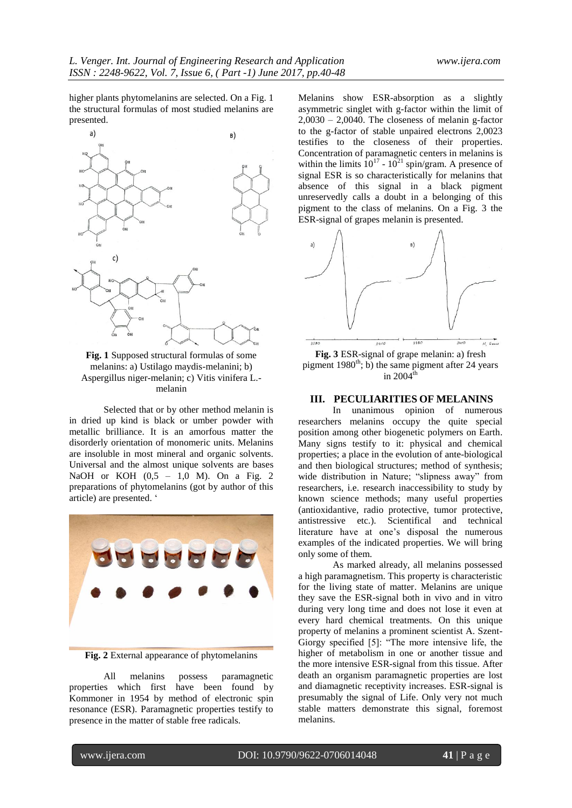higher plants phytomelanins are selected. On a Fig. 1 the structural formulas of most studied melanins are presented.



**Fig. 1** Supposed structural formulas of some melanins: a) Ustilago maydis-melanini; b) Aspergillus niger-melanin; c) Vitis vinifera L. melanin

Selected that or by other method melanin is in dried up kind is black or umber powder with metallic brilliance. It is an amorfous matter the disorderly orientation of monomeric units. Melanins are insoluble in most mineral and organic solvents. Universal and the almost unique solvents are bases NaOH or KOH (0,5 – 1,0 M). On a Fig. 2 preparations of phytomelanins (got by author of this article) are presented. '



**Fig. 2** External appearance of phytomelanins

All melanins possess paramagnetic properties which first have been found by Kommoner in 1954 by method of electronic spin resonance (ESR). Paramagnetic properties testify to presence in the matter of stable free radicals.

Melanins show ESR-absorption as a slightly asymmetric singlet with g-factor within the limit of  $2,0030 - 2,0040$ . The closeness of melanin g-factor to the g-factor of stable unpaired electrons 2,0023 testifies to the closeness of their properties. Concentration of paramagnetic centers in melanins is within the limits  $10^{17}$  -  $10^{21}$  spin/gram. A presence of signal ESR is so characteristically for melanins that absence of this signal in a black pigment unreservedly calls a doubt in a belonging of this pigment to the class of melanins. On a Fig. 3 the ESR-signal of grapes melanin is presented.



**Fig. 3** ESR-signal of grape melanin: a) fresh pigment  $1980<sup>th</sup>$ ; b) the same pigment after 24 years in  $2004^{\text{tl}}$ 

#### **III. PECULIARITIES OF MELANINS**

In unanimous opinion of numerous researchers melanins occupy the quite special position among other biogenetic polymers on Earth. Many signs testify to it: physical and chemical properties; a place in the evolution of ante-biological and then biological structures; method of synthesis; wide distribution in Nature; "slipness away" from researchers, i.e. research inaccessibility to study by known science methods; many useful properties (antioxidantive, radio protective, tumor protective, antistressive etc.). Scientifical and technical literature have at one's disposal the numerous examples of the indicated properties. We will bring only some of them.

As marked already, all melanins possessed a high paramagnetism. This property is characteristic for the living state of matter. Melanins are unique they save the ESR-signal both in vivo and in vitro during very long time and does not lose it even at every hard chemical treatments. On this unique property of melanins a prominent scientist A. Szent-Giorgy specified [5]: "The more intensive life, the higher of metabolism in one or another tissue and the more intensive ESR-signal from this tissue. After death an organism paramagnetic properties are lost and diamagnetic receptivity increases. ESR-signal is presumably the signal of Life. Only very not much stable matters demonstrate this signal, foremost melanins.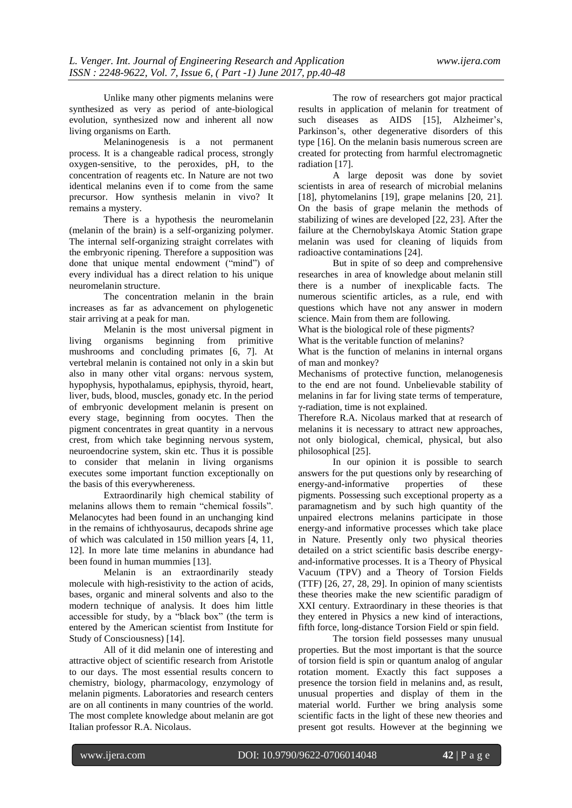Unlike many other pigments melanins were synthesized as very as period of ante-biological evolution, synthesized now and inherent all now living organisms on Earth.

Melaninogenesis is a not permanent process. It is a changeable radical process, strongly oxygen-sensitive, to the peroxides, pH, to the concentration of reagents etc. In Nature are not two identical melanins even if to come from the same precursor. How synthesis melanin in vivo? It remains a mystery.

There is a hypothesis the neuromelanin (melanin of the brain) is a self-organizing polymer. The internal self-organizing straight correlates with the embryonic ripening. Therefore a supposition was done that unique mental endowment ("mind") of every individual has a direct relation to his unique neuromelanin structure.

The concentration melanin in the brain increases as far as advancement on phylogenetic stair arriving at a peak for man.

Melanin is the most universal pigment in living organisms beginning from primitive mushrooms and concluding primates [6, 7]. At vertebral melanin is contained not only in a skin but also in many other vital organs: nervous system, hypophysis, hypothalamus, epiphysis, thyroid, heart, liver, buds, blood, muscles, gonady etc. In the period of embryonic development melanin is present on every stage, beginning from oocytes. Then the pigment concentrates in great quantity in a nervous crest, from which take beginning nervous system, neuroendocrine system, skin etc. Thus it is possible to consider that melanin in living organisms executes some important function exceptionally on the basis of this everywhereness.

Extraordinarily high chemical stability of melanins allows them to remain "chemical fossils". Melanocytes had been found in an unchanging kind in the remains of ichthyosaurus, decapods shrine age of which was calculated in 150 million years [4, 11, 12]. In more late time melanins in abundance had been found in human mummies [13].

Melanin is an extraordinarily steady molecule with high-resistivity to the action of acids, bases, organic and mineral solvents and also to the modern technique of analysis. It does him little accessible for study, by a "black box" (the term is entered by the American scientist from Institute for Study of Consciousness) [14].

All of it did melanin one of interesting and attractive object of scientific research from Aristotle to our days. The most essential results concern to chemistry, biology, pharmacology, enzymology of melanin pigments. Laboratories and research centers are on all continents in many countries of the world. The most complete knowledge about melanin are got Italian professor R.A. Nicolaus.

The row of researchers got major practical results in application of melanin for treatment of such diseases as AIDS [15], Alzheimer's, Parkinson's, other degenerative disorders of this type [16]. On the melanin basis numerous screen are created for protecting from harmful electromagnetic radiation [17].

A large deposit was done by soviet scientists in area of research of microbial melanins [18], phytomelanins [19], grape melanins [20, 21]. On the basis of grape melanin the methods of stabilizing of wines are developed [22, 23]. After the failure at the Chernobylskaya Atomic Station grape melanin was used for cleaning of liquids from radioactive contaminations [24].

But in spite of so deep and comprehensive researches in area of knowledge about melanin still there is a number of inexplicable facts. The numerous scientific articles, as a rule, end with questions which have not any answer in modern science. Main from them are following.

What is the biological role of these pigments?

What is the veritable function of melanins?

What is the function of melanins in internal organs of man and monkey?

Mechanisms of protective function, melanogenesis to the end are not found. Unbelievable stability of melanins in far for living state terms of temperature, γ-radiation, time is not explained.

Therefore R.A. Nicolaus marked that at research of melanins it is necessary to attract new approaches, not only biological, chemical, physical, but also philosophical [25].

In our opinion it is possible to search answers for the put questions only by researching of energy-and-informative properties of these pigments. Possessing such exceptional property as a paramagnetism and by such high quantity of the unpaired electrons melanins participate in those energy-and informative processes which take place in Nature. Presently only two physical theories detailed on a strict scientific basis describe energyand-informative processes. It is a Theory of Physical Vacuum (TPV) and a Theory of Torsion Fields  $(TTF)$  [26, 27, 28, 29]. In opinion of many scientists these theories make the new scientific paradigm of XXI century. Extraordinary in these theories is that they entered in Physics a new kind of interactions, fifth force, long-distance Torsion Field or spin field.

The torsion field possesses many unusual properties. But the most important is that the source of torsion field is spin or quantum analog of angular rotation moment. Exactly this fact supposes a presence the torsion field in melanins and, as result, unusual properties and display of them in the material world. Further we bring analysis some scientific facts in the light of these new theories and present got results. However at the beginning we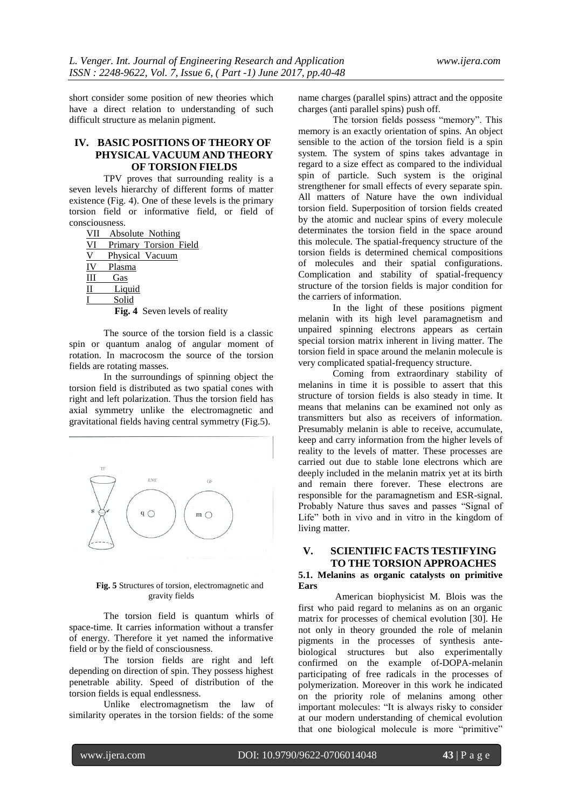short consider some position of new theories which have a direct relation to understanding of such difficult structure as melanin pigment.

# **IV. BASIC POSITIONS OF THEORY OF PHYSICAL VACUUM AND THEORY OF TORSION FIELDS**

TPV proves that surrounding reality is a seven levels hierarchy of different forms of matter existence (Fig. 4). One of these levels is the primary torsion field or informative field, or field of consciousness.

VII Absolute Nothing

| VI | Primary Torsion Field |  |
|----|-----------------------|--|
|    |                       |  |

|  |  | Physical Vacuum |  |
|--|--|-----------------|--|
|  |  |                 |  |

- IV Plasma
- III Gas
- II Liquid
- Solid

**Fig. 4** Seven levels of reality

The source of the torsion field is a classic spin or quantum analog of angular moment of rotation. In macrocosm the source of the torsion fields are rotating masses.

In the surroundings of spinning object the torsion field is distributed as two spatial cones with right and left polarization. Thus the torsion field has axial symmetry unlike the electromagnetic and gravitational fields having central symmetry (Fig.5).



**Fig. 5** Structures of torsion, electromagnetic and gravity fields

The torsion field is quantum whirls of space-time. It carries information without a transfer of energy. Therefore it yet named the informative field or by the field of consciousness.

The torsion fields are right and left depending on direction of spin. They possess highest penetrable ability. Speed of distribution of the torsion fields is equal endlessness.

Unlike electromagnetism the law of similarity operates in the torsion fields: of the some

name charges (parallel spins) attract and the opposite charges (anti parallel spins) push off.

The torsion fields possess "memory". This memory is an exactly orientation of spins. An object sensible to the action of the torsion field is a spin system. The system of spins takes advantage in regard to a size effect as compared to the individual spin of particle. Such system is the original strengthener for small effects of every separate spin. All matters of Nature have the own individual torsion field. Superposition of torsion fields created by the atomic and nuclear spins of every molecule determinates the torsion field in the space around this molecule. The spatial-frequency structure of the torsion fields is determined chemical compositions of molecules and their spatial configurations. Complication and stability of spatial-frequency structure of the torsion fields is major condition for the carriers of information.

In the light of these positions pigment melanin with its high level paramagnetism and unpaired spinning electrons appears as certain special torsion matrix inherent in living matter. The torsion field in space around the melanin molecule is very complicated spatial-frequency structure.

Coming from extraordinary stability of melanins in time it is possible to assert that this structure of torsion fields is also steady in time. It means that melanins can be examined not only as transmitters but also as receivers of information. Presumably melanin is able to receive, accumulate, keep and carry information from the higher levels of reality to the levels of matter. These processes are carried out due to stable lone electrons which are deeply included in the melanin matrix yet at its birth and remain there forever. These electrons are responsible for the paramagnetism and ESR-signal. Probably Nature thus saves and passes "Signal of Life" both in vivo and in vitro in the kingdom of living matter.

# **V. SCIENTIFIC FACTS TESTIFYING TO THE TORSION APPROACHES**

#### **5.1. Melanins as organic catalysts on primitive Ears**

American biophysicist M. Blois was the first who paid regard to melanins as on an organic matrix for processes of chemical evolution [30]. He not only in theory grounded the role of melanin pigments in the processes of synthesis antebiological structures but also experimentally confirmed on the example of-DOPA-melanin participating of free radicals in the processes of polymerization. Moreover in this work he indicated on the priority role of melanins among other important molecules: "It is always risky to consider at our modern understanding of chemical evolution that one biological molecule is more "primitive"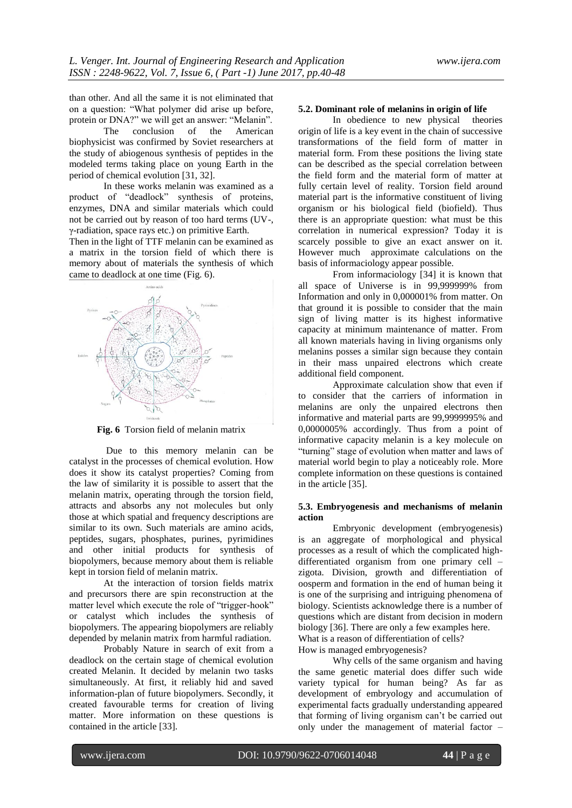than other. And all the same it is not eliminated that on a question: "What polymer did arise up before, protein or DNA?" we will get an answer: "Melanin".<br>The conclusion of the American

conclusion biophysicist was confirmed by Soviet researchers at the study of abiogenous synthesis of peptides in the modeled terms taking place on young Earth in the period of chemical evolution [31, 32].

In these works melanin was examined as a product of "deadlock" synthesis of proteins, enzymes, DNA and similar materials which could not be carried out by reason of too hard terms (UV-, γ-radiation, space rays etc.) on primitive Earth.

Then in the light of TTF melanin can be examined as a matrix in the torsion field of which there is memory about of materials the synthesis of which came to deadlock at one time (Fig. 6).



**Fig. 6** Torsion field of melanin matrix

Due to this memory melanin can be catalyst in the processes of chemical evolution. How does it show its catalyst properties? Coming from the law of similarity it is possible to assert that the melanin matrix, operating through the torsion field, attracts and absorbs any not molecules but only those at which spatial and frequency descriptions are similar to its own. Such materials are amino acids, peptides, sugars, phosphates, purines, pyrimidines and other initial products for synthesis of biopolymers, because memory about them is reliable kept in torsion field of melanin matrix.

At the interaction of torsion fields matrix and precursors there are spin reconstruction at the matter level which execute the role of "trigger-hook" or catalyst which includes the synthesis of biopolymers. The appearing biopolymers are reliably depended by melanin matrix from harmful radiation.

Probably Nature in search of exit from a deadlock on the certain stage of chemical evolution created Melanin. It decided by melanin two tasks simultaneously. At first, it reliably hid and saved information-plan of future biopolymers. Secondly, it created favourable terms for creation of living matter. More information on these questions is contained in the article [33].

#### **5.2. Dominant role of melanins in origin of life**

In obedience to new physical theories origin of life is a key event in the chain of successive transformations of the field form of matter in material form. From these positions the living state can be described as the special correlation between the field form and the material form of matter at fully certain level of reality. Torsion field around material part is the informative constituent of living organism or his biological field (biofield). Thus there is an appropriate question: what must be this correlation in numerical expression? Today it is scarcely possible to give an exact answer on it. However much approximate calculations on the basis of informaciology appear possible.

From informaciology [34] it is known that all space of Universe is in 99,999999% from Information and only in 0,000001% from matter. On that ground it is possible to consider that the main sign of living matter is its highest informative capacity at minimum maintenance of matter. From all known materials having in living organisms only melanins posses a similar sign because they contain in their mass unpaired electrons which create additional field component.

Approximate calculation show that even if to consider that the carriers of information in melanins are only the unpaired electrons then informative and material parts are 99,9999995% and 0,0000005% accordingly. Thus from a point of informative capacity melanin is a key molecule on "turning" stage of evolution when matter and laws of material world begin to play a noticeably role. More complete information on these questions is contained in the article [35].

#### **5.3. Embryogenesis and mechanisms of melanin action**

Embryonic development (embryogenesis) is an aggregate of morphological and physical processes as a result of which the complicated highdifferentiated organism from one primary cell – zigota. Division, growth and differentiation of oosperm and formation in the end of human being it is one of the surprising and intriguing phenomena of biology. Scientists acknowledge there is a number of questions which are distant from decision in modern biology [36]. There are only a few examples here. What is a reason of differentiation of cells?

How is managed embryogenesis?

Why cells of the same organism and having the same genetic material does differ such wide variety typical for human being? As far as development of embryology and accumulation of experimental facts gradually understanding appeared that forming of living organism can't be carried out only under the management of material factor –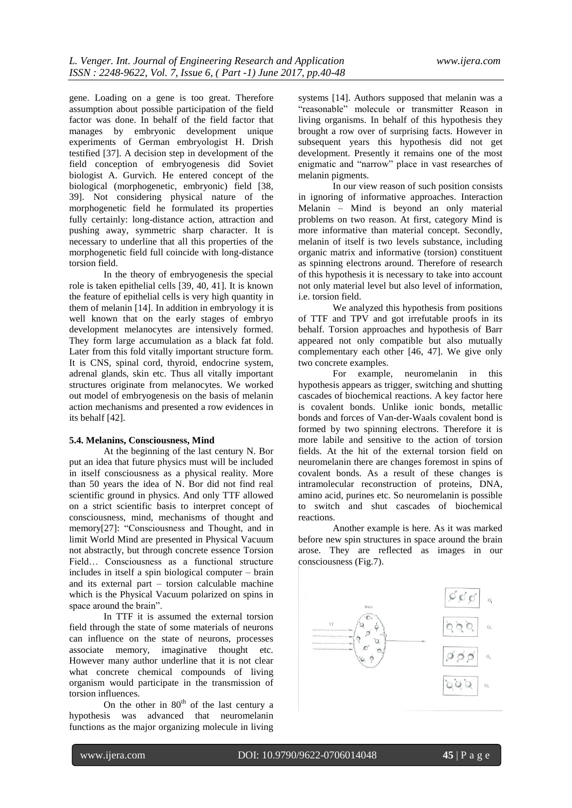gene. Loading on a gene is too great. Therefore assumption about possible participation of the field factor was done. In behalf of the field factor that manages by embryonic development unique experiments of German embryologist H. Drish testified [37]. A decision step in development of the field conception of embryogenesis did Soviet biologist A. Gurvich. He entered concept of the biological (morphogenetic, embryonic) field [38, 39]. Not considering physical nature of the morphogenetic field he formulated its properties fully certainly: long-distance action, attraction and pushing away, symmetric sharp character. It is necessary to underline that all this properties of the morphogenetic field full coincide with long-distance torsion field.

In the theory of embryogenesis the special role is taken epithelial cells [39, 40, 41]. It is known the feature of epithelial cells is very high quantity in them of melanin [14]. In addition in embryology it is well known that on the early stages of embryo development melanocytes are intensively formed. They form large accumulation as a black fat fold. Later from this fold vitally important structure form. It is CNS, spinal cord, thyroid, endocrine system, adrenal glands, skin etc. Thus all vitally important structures originate from melanocytes. We worked out model of embryogenesis on the basis of melanin action mechanisms and presented a row evidences in its behalf [42].

#### **5.4. Melanins, Consciousness, Mind**

At the beginning of the last century N. Bor put an idea that future physics must will be included in itself consciousness as a physical reality. More than 50 years the idea of N. Bor did not find real scientific ground in physics. And only TTF allowed on a strict scientific basis to interpret concept of consciousness, mind, mechanisms of thought and memory[27]: "Consciousness and Thought, and in limit World Mind are presented in Physical Vacuum not abstractly, but through concrete essence Torsion Field… Consciousness as a functional structure includes in itself a spin biological computer – brain and its external part – torsion calculable machine which is the Physical Vacuum polarized on spins in space around the brain".

In TTF it is assumed the external torsion field through the state of some materials of neurons can influence on the state of neurons, processes associate memory, imaginative thought etc. However many author underline that it is not clear what concrete chemical compounds of living organism would participate in the transmission of torsion influences.

On the other in  $80<sup>th</sup>$  of the last century a hypothesis was advanced that neuromelanin functions as the major organizing molecule in living

systems [14]. Authors supposed that melanin was a "reasonable" molecule or transmitter Reason in living organisms. In behalf of this hypothesis they brought a row over of surprising facts. However in subsequent years this hypothesis did not get development. Presently it remains one of the most enigmatic and "narrow" place in vast researches of melanin pigments.

In our view reason of such position consists in ignoring of informative approaches. Interaction Melanin – Mind is beyond an only material problems on two reason. At first, category Mind is more informative than material concept. Secondly, melanin of itself is two levels substance, including organic matrix and informative (torsion) constituent as spinning electrons around. Therefore of research of this hypothesis it is necessary to take into account not only material level but also level of information, i.e. torsion field.

We analyzed this hypothesis from positions of TTF and TPV and got irrefutable proofs in its behalf. Torsion approaches and hypothesis of Barr appeared not only compatible but also mutually complementary each other [46, 47]. We give only two concrete examples.

For example, neuromelanin in this hypothesis appears as trigger, switching and shutting cascades of biochemical reactions. A key factor here is covalent bonds. Unlike ionic bonds, metallic bonds and forces of Van-der-Waals covalent bond is formed by two spinning electrons. Therefore it is more labile and sensitive to the action of torsion fields. At the hit of the external torsion field on neuromelanin there are changes foremost in spins of covalent bonds. As a result of these changes is intramolecular reconstruction of proteins, DNA, amino acid, purines etc. So neuromelanin is possible to switch and shut cascades of biochemical reactions.

Another example is here. As it was marked before new spin structures in space around the brain arose. They are reflected as images in our consciousness (Fig.7).

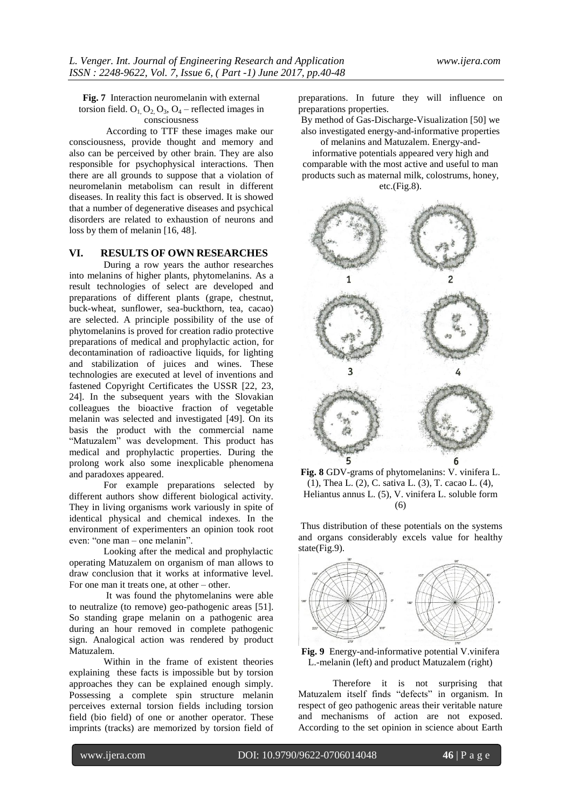**Fig. 7** Interaction neuromelanin with external torsion field.  $O_1$ ,  $O_2$ ,  $O_3$ ,  $O_4$  – reflected images in consciousness

According to TTF these images make our consciousness, provide thought and memory and also can be perceived by other brain. They are also responsible for psychophysical interactions. Then there are all grounds to suppose that a violation of neuromelanin metabolism can result in different diseases. In reality this fact is observed. It is showed that a number of degenerative diseases and psychical disorders are related to exhaustion of neurons and loss by them of melanin [16, 48].

#### **VI. RESULTS OF OWN RESEARCHES**

During a row years the author researches into melanins of higher plants, phytomelanins. As a result technologies of select are developed and preparations of different plants (grape, chestnut, buck-wheat, sunflower, sea-buckthorn, tea, cacao) are selected. A principle possibility of the use of phytomelanins is proved for creation radio protective preparations of medical and prophylactic action, for decontamination of radioactive liquids, for lighting and stabilization of juices and wines. These technologies are executed at level of inventions and fastened Copyright Certificates the USSR [22, 23, 24]. In the subsequent years with the Slovakian colleagues the bioactive fraction of vegetable melanin was selected and investigated [49]. On its basis the product with the commercial name "Matuzalem" was development. This product has medical and prophylactic properties. During the prolong work also some inexplicable phenomena and paradoxes appeared.

For example preparations selected by different authors show different biological activity. They in living organisms work variously in spite of identical physical and chemical indexes. In the environment of experimenters an opinion took root even: "one man – one melanin".

Looking after the medical and prophylactic operating Matuzalem on organism of man allows to draw conclusion that it works at informative level. For one man it treats one, at other – other.

It was found the phytomelanins were able to neutralize (to remove) geo-pathogenic areas [51]. So standing grape melanin on a pathogenic area during an hour removed in complete pathogenic sign. Analogical action was rendered by product Matuzalem.

Within in the frame of existent theories explaining these facts is impossible but by torsion approaches they can be explained enough simply. Possessing a complete spin structure melanin perceives external torsion fields including torsion field (bio field) of one or another operator. These imprints (tracks) are memorized by torsion field of

preparations. In future they will influence on preparations properties.

By method of Gas-Discharge-Visualization [50] we also investigated energy-and-informative properties

of melanins and Matuzalem. Energy-andinformative potentials appeared very high and comparable with the most active and useful to man products such as maternal milk, colostrums, honey,

etc.(Fig.8).



**Fig. 8** GDV-grams of phytomelanins: V. vinifera L. (1), Thea L. (2), C. sativa L. (3), T. cacao L. (4), Heliantus annus L. (5), V. vinifera L. soluble form (6)

Thus distribution of these potentials on the systems and organs considerably excels value for healthy state(Fig.9).



**Fig. 9** Energy-and-informative potential V.vinifera L.-melanin (left) and product Matuzalem (right)

Therefore it is not surprising that Matuzalem itself finds "defects" in organism. In respect of geo pathogenic areas their veritable nature and mechanisms of action are not exposed. According to the set opinion in science about Earth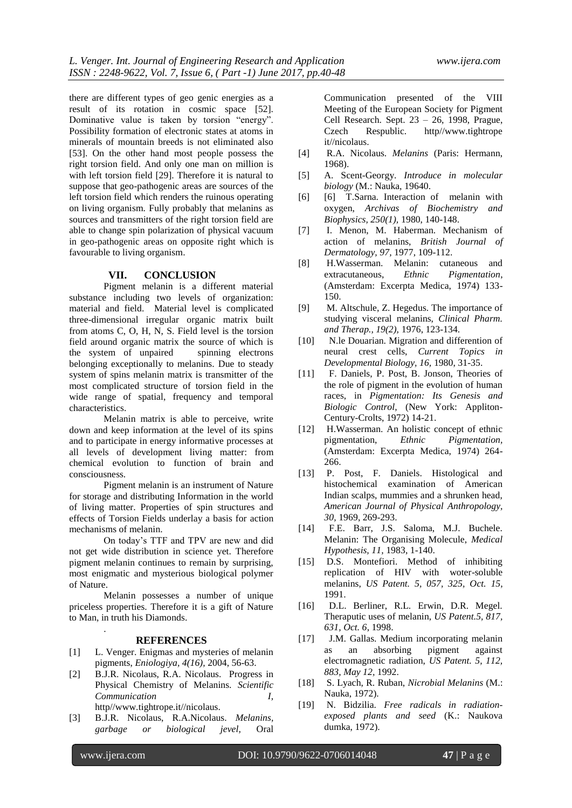there are different types of geo genic energies as a result of its rotation in cosmic space [52]. Dominative value is taken by torsion "energy". Possibility formation of electronic states at atoms in minerals of mountain breeds is not eliminated also [53]. On the other hand most people possess the right torsion field. And only one man on million is with left torsion field [29]. Therefore it is natural to suppose that geo-pathogenic areas are sources of the left torsion field which renders the ruinous operating on living organism. Fully probably that melanins as sources and transmitters of the right torsion field are able to change spin polarization of physical vacuum in geo-pathogenic areas on opposite right which is favourable to living organism.

#### **VII. CONCLUSION**

Pigment melanin is a different material substance including two levels of organization: material and field. Material level is complicated three-dimensional irregular organic matrix built from atoms C, O, H, N, S. Field level is the torsion field around organic matrix the source of which is the system of unpaired spinning electrons belonging exceptionally to melanins. Due to steady system of spins melanin matrix is transmitter of the most complicated structure of torsion field in the wide range of spatial, frequency and temporal characteristics.

Melanin matrix is able to perceive, write down and keep information at the level of its spins and to participate in energy informative processes at all levels of development living matter: from chemical evolution to function of brain and consciousness.

Pigment melanin is an instrument of Nature for storage and distributing Information in the world of living matter. Properties of spin structures and effects of Torsion Fields underlay a basis for action mechanisms of melanin.

On today's TTF and TPV are new and did not get wide distribution in science yet. Therefore pigment melanin continues to remain by surprising, most enigmatic and mysterious biological polymer of Nature.

Melanin possesses a number of unique priceless properties. Therefore it is a gift of Nature to Man, in truth his Diamonds.

#### **REFERENCES**

- [1] L. Venger. Enigmas and mysteries of melanin pigments, *Eniologiya, 4(16),* 2004, 56-63.
- [2] B.J.R. Nicolaus, R.A. Nicolaus. Progress in Physical Chemistry of Melanins. *Scientific Communication I,*  http//www.tightrope.it//nicolaus.
- [3] B.J.R. Nicolaus, R.A.Nicolaus. *Melanins, garbage or biological jevel,* Oral

Communication presented of the VIII Meeting of the European Society for Pigment Cell Research. Sept.  $23 - 26$ , 1998, Prague,<br>Czech Respublic. http//www.tightrope http//www.tightrope it//nicolaus.

- [4] R.A. Nicolaus. *Melanins* (Paris: Hermann, 1968).
- [5] A. Scent-Georgy. *Introduce in molecular biology* (M.: Nauka, 19640.
- [6] [6] T.Sarna. Interaction of melanin with oxygen, *Archivas of Biochemistry and Biophysics, 250(1),* 1980, 140-148.
- [7] I. Menon, M. Haberman. Mechanism of action of melanins, *British Journal of Dermatology, 97,* 1977, 109-112.
- [8] H.Wasserman. Melanin: cutaneous and extracutaneous, *Ethnic Pigmentation*, (Amsterdam: Excerpta Medica, 1974) 133- 150.
- [9] M. Altschule, Z. Hegedus. The importance of studying visceral melanins, *Clinical Pharm. and Therap., 19(2),* 1976, 123-134.
- [10] N.le Douarian. Migration and differention of neural crest cells, *Current Topics in Developmental Biology, 16,* 1980, 31-35.
- [11] F. Daniels, P. Post, B. Jonson, Theories of the role of pigment in the evolution of human races, in *Pigmentation: Its Genesis and Biologic Control,* (New York: Appliton-Century-Crolts, 1972) 14-21.
- [12] H.Wasserman. An holistic concept of ethnic pigmentation, *Ethnic Pigmentation,* (Amsterdam: Excerpta Medica, 1974) 264- 266.
- [13] P. Post, F. Daniels. Histological and histochemical examination of American Indian scalps, mummies and a shrunken head, *American Journal of Physical Anthropology, 30,* 1969, 269-293.
- [14] F.E. Barr, J.S. Saloma, M.J. Buchele. Melanin: The Organising Molecule, *Medical Hypothesis, 11,* 1983, 1-140.
- [15] D.S. Montefiori. Method of inhibiting replication of HIV with woter-soluble melanins, *US Patent. 5, 057, 325, Oct. 15,* 1991.
- [16] D.L. Berliner, R.L. Erwin, D.R. Megel. Theraputic uses of melanin, *US Patent.5, 817, 631, Oct. 6*, 1998.
- [17] J.M. Gallas. Medium incorporating melanin as an absorbing pigment against electromagnetic radiation, *US Patent. 5, 112, 883, May 12,* 1992.
- [18] S. Lyach, R. Ruban, *Nicrobial Melanins* (M.: Nauka, 1972).
- [19] N. Bidzilia. *Free radicals in radiationexposed plants and seed* (K.: Naukova dumka, 1972).

.